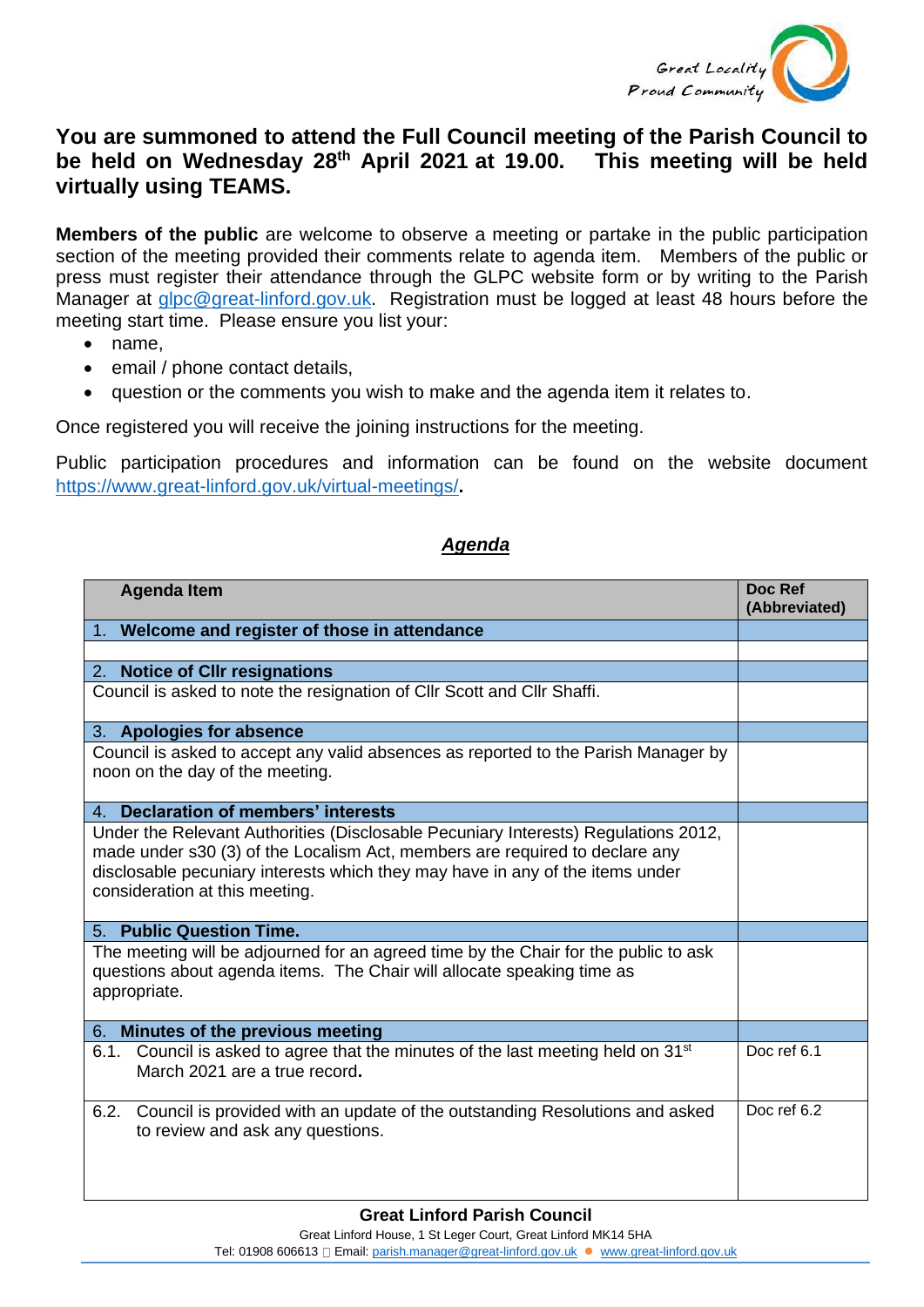

## **You are summoned to attend the Full Council meeting of the Parish Council to be held on Wednesday 28th April 2021 at 19.00. This meeting will be held virtually using TEAMS.**

**Members of the public** are welcome to observe a meeting or partake in the public participation section of the meeting provided their comments relate to agenda item. Members of the public or press must register their attendance through the GLPC website form or by writing to the Parish Manager at [glpc@great-linford.gov.uk.](mailto:glpc@great-linford.gov.uk) Registration must be logged at least 48 hours before the meeting start time. Please ensure you list your:

- name,
- email / phone contact details,
- question or the comments you wish to make and the agenda item it relates to.

Once registered you will receive the joining instructions for the meeting.

Public participation procedures and information can be found on the website document <https://www.great-linford.gov.uk/virtual-meetings/>**.** 

## *Agenda*

| <b>Agenda Item</b>                                                                                                                                                                                                                                                                   | Doc Ref<br>(Abbreviated) |
|--------------------------------------------------------------------------------------------------------------------------------------------------------------------------------------------------------------------------------------------------------------------------------------|--------------------------|
| 1. Welcome and register of those in attendance                                                                                                                                                                                                                                       |                          |
|                                                                                                                                                                                                                                                                                      |                          |
| <b>Notice of Cllr resignations</b><br>2.                                                                                                                                                                                                                                             |                          |
| Council is asked to note the resignation of Cllr Scott and Cllr Shaffi.                                                                                                                                                                                                              |                          |
| 3. Apologies for absence                                                                                                                                                                                                                                                             |                          |
| Council is asked to accept any valid absences as reported to the Parish Manager by<br>noon on the day of the meeting.                                                                                                                                                                |                          |
| 4. Declaration of members' interests                                                                                                                                                                                                                                                 |                          |
| Under the Relevant Authorities (Disclosable Pecuniary Interests) Regulations 2012,<br>made under s30 (3) of the Localism Act, members are required to declare any<br>disclosable pecuniary interests which they may have in any of the items under<br>consideration at this meeting. |                          |
| <b>Public Question Time.</b><br>5.                                                                                                                                                                                                                                                   |                          |
| The meeting will be adjourned for an agreed time by the Chair for the public to ask<br>questions about agenda items. The Chair will allocate speaking time as<br>appropriate.                                                                                                        |                          |
| Minutes of the previous meeting<br>6.                                                                                                                                                                                                                                                |                          |
| 6.1. Council is asked to agree that the minutes of the last meeting held on 31 <sup>st</sup><br>March 2021 are a true record.                                                                                                                                                        | Doc ref 6.1              |
| 6.2. Council is provided with an update of the outstanding Resolutions and asked<br>to review and ask any questions.                                                                                                                                                                 | Doc ref 6.2              |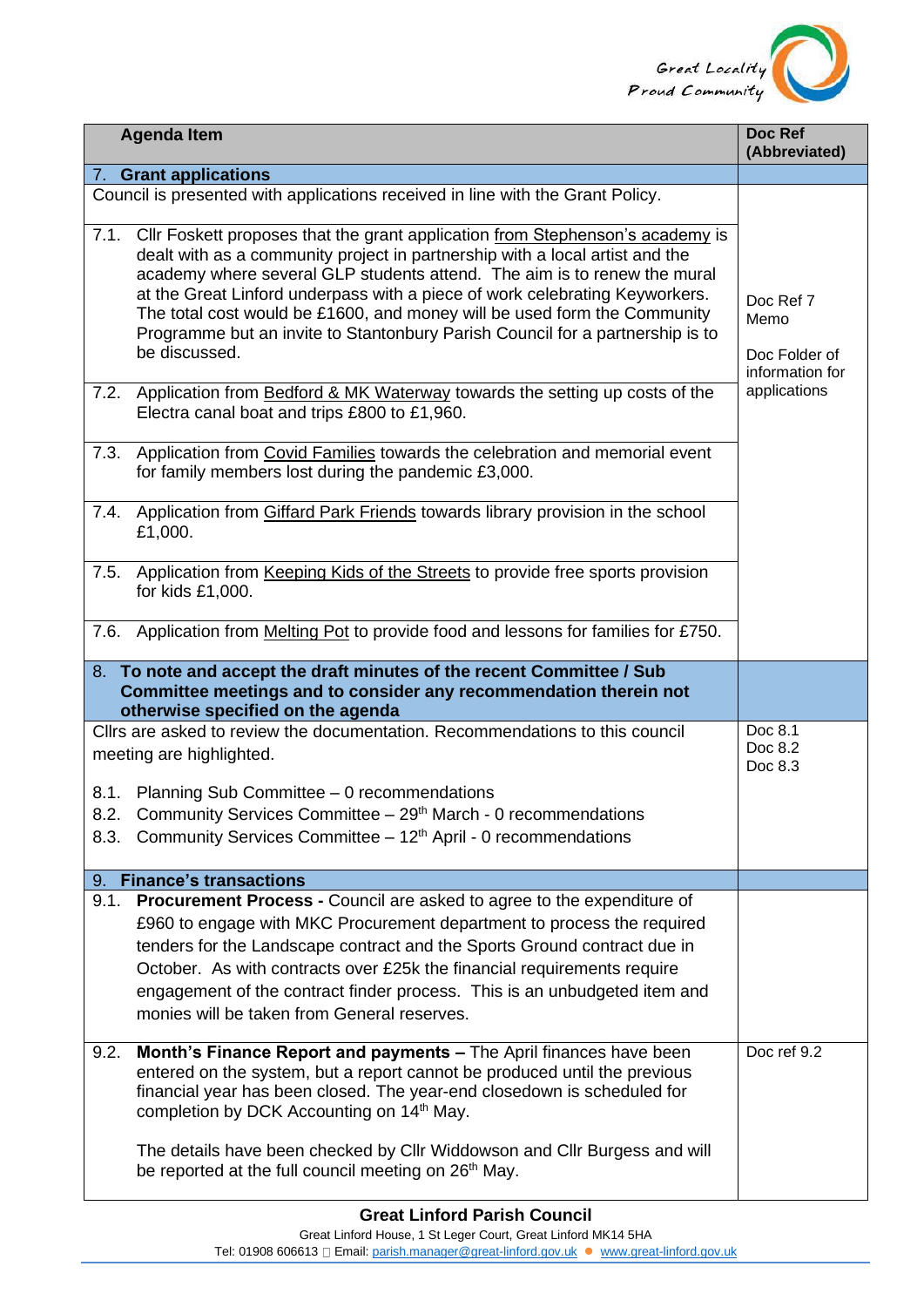

|      | <b>Agenda Item</b>                                                                                                                                                                                                                                                                                                                                                                                                                                                                                     | Doc Ref<br>(Abbreviated)                              |
|------|--------------------------------------------------------------------------------------------------------------------------------------------------------------------------------------------------------------------------------------------------------------------------------------------------------------------------------------------------------------------------------------------------------------------------------------------------------------------------------------------------------|-------------------------------------------------------|
|      | 7. Grant applications                                                                                                                                                                                                                                                                                                                                                                                                                                                                                  |                                                       |
|      | Council is presented with applications received in line with the Grant Policy.                                                                                                                                                                                                                                                                                                                                                                                                                         |                                                       |
| 7.1. | Cllr Foskett proposes that the grant application from Stephenson's academy is<br>dealt with as a community project in partnership with a local artist and the<br>academy where several GLP students attend. The aim is to renew the mural<br>at the Great Linford underpass with a piece of work celebrating Keyworkers.<br>The total cost would be £1600, and money will be used form the Community<br>Programme but an invite to Stantonbury Parish Council for a partnership is to<br>be discussed. | Doc Ref 7<br>Memo<br>Doc Folder of<br>information for |
| 7.2. | Application from Bedford & MK Waterway towards the setting up costs of the<br>Electra canal boat and trips £800 to £1,960.                                                                                                                                                                                                                                                                                                                                                                             | applications                                          |
| 7.3. | Application from Covid Families towards the celebration and memorial event<br>for family members lost during the pandemic £3,000.                                                                                                                                                                                                                                                                                                                                                                      |                                                       |
|      | 7.4. Application from Giffard Park Friends towards library provision in the school<br>£1,000.                                                                                                                                                                                                                                                                                                                                                                                                          |                                                       |
| 7.5. | Application from Keeping Kids of the Streets to provide free sports provision<br>for kids £1,000.                                                                                                                                                                                                                                                                                                                                                                                                      |                                                       |
| 7.6. | Application from Melting Pot to provide food and lessons for families for £750.                                                                                                                                                                                                                                                                                                                                                                                                                        |                                                       |
|      | 8. To note and accept the draft minutes of the recent Committee / Sub<br>Committee meetings and to consider any recommendation therein not<br>otherwise specified on the agenda                                                                                                                                                                                                                                                                                                                        |                                                       |
|      | Cllrs are asked to review the documentation. Recommendations to this council<br>meeting are highlighted.                                                                                                                                                                                                                                                                                                                                                                                               | Doc 8.1<br>Doc 8.2<br>Doc 8.3                         |
| 8.2. | 8.1. Planning Sub Committee - 0 recommendations<br>Community Services Committee - 29th March - 0 recommendations<br>8.3. Community Services Committee - 12 <sup>th</sup> April - 0 recommendations                                                                                                                                                                                                                                                                                                     |                                                       |
| 9.   | <b>Finance's transactions</b>                                                                                                                                                                                                                                                                                                                                                                                                                                                                          |                                                       |
| 9.1. | Procurement Process - Council are asked to agree to the expenditure of<br>£960 to engage with MKC Procurement department to process the required<br>tenders for the Landscape contract and the Sports Ground contract due in<br>October. As with contracts over £25k the financial requirements require<br>engagement of the contract finder process. This is an unbudgeted item and<br>monies will be taken from General reserves.                                                                    |                                                       |
| 9.2. | Month's Finance Report and payments - The April finances have been<br>entered on the system, but a report cannot be produced until the previous<br>financial year has been closed. The year-end closedown is scheduled for<br>completion by DCK Accounting on 14 <sup>th</sup> May.<br>The details have been checked by Cllr Widdowson and Cllr Burgess and will<br>be reported at the full council meeting on 26 <sup>th</sup> May.                                                                   | Doc ref 9.2                                           |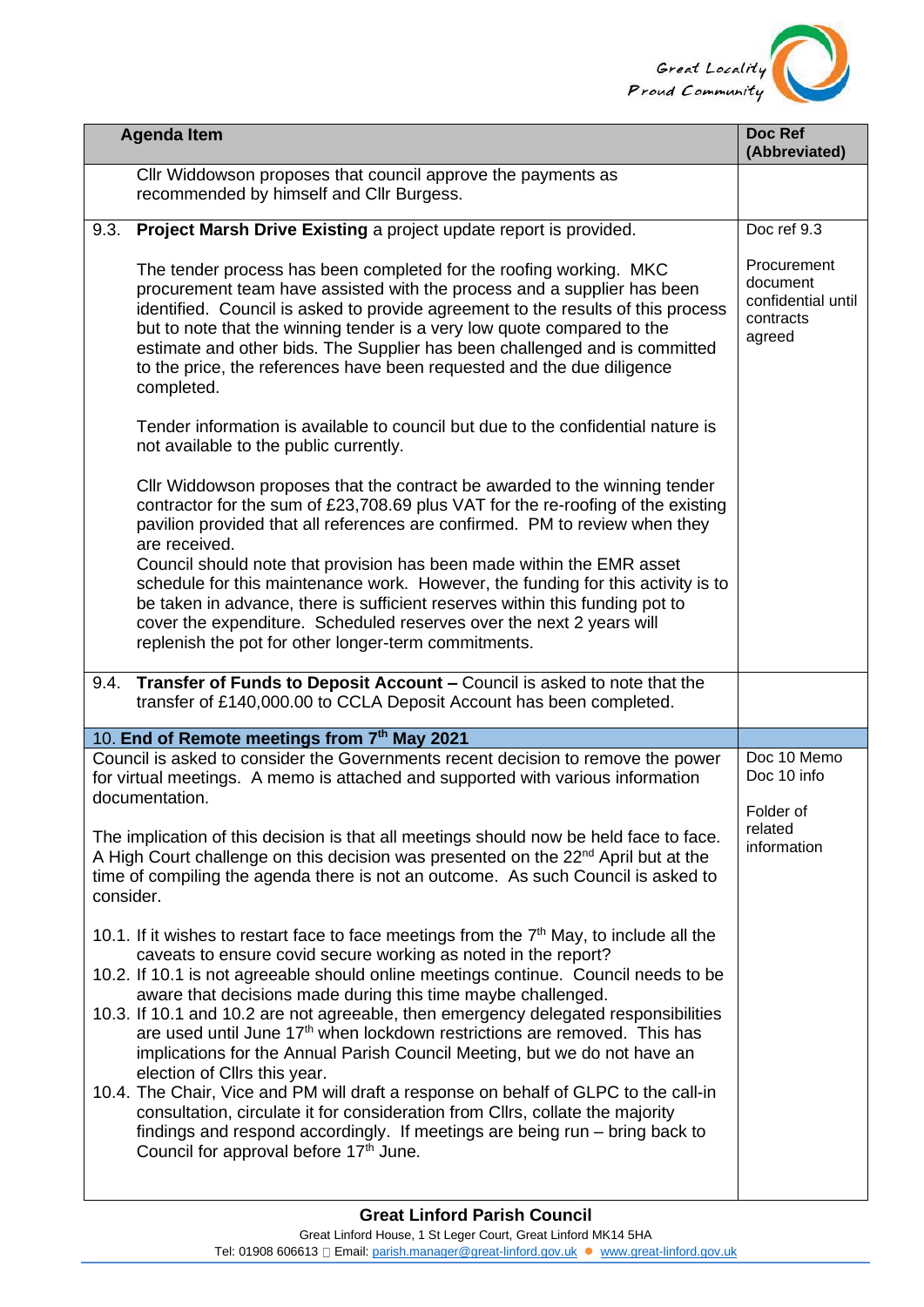

|           | <b>Agenda Item</b>                                                                                                                                                                                                                                                                                                                                                                                                                                                                                                                                                                                               | Doc Ref<br>(Abbreviated)                                             |
|-----------|------------------------------------------------------------------------------------------------------------------------------------------------------------------------------------------------------------------------------------------------------------------------------------------------------------------------------------------------------------------------------------------------------------------------------------------------------------------------------------------------------------------------------------------------------------------------------------------------------------------|----------------------------------------------------------------------|
|           | Cllr Widdowson proposes that council approve the payments as<br>recommended by himself and Cllr Burgess.                                                                                                                                                                                                                                                                                                                                                                                                                                                                                                         |                                                                      |
| 9.3.      | Project Marsh Drive Existing a project update report is provided.                                                                                                                                                                                                                                                                                                                                                                                                                                                                                                                                                | Doc ref 9.3                                                          |
|           | The tender process has been completed for the roofing working. MKC<br>procurement team have assisted with the process and a supplier has been<br>identified. Council is asked to provide agreement to the results of this process<br>but to note that the winning tender is a very low quote compared to the<br>estimate and other bids. The Supplier has been challenged and is committed<br>to the price, the references have been requested and the due diligence<br>completed.                                                                                                                               | Procurement<br>document<br>confidential until<br>contracts<br>agreed |
|           | Tender information is available to council but due to the confidential nature is<br>not available to the public currently.                                                                                                                                                                                                                                                                                                                                                                                                                                                                                       |                                                                      |
|           | Cllr Widdowson proposes that the contract be awarded to the winning tender<br>contractor for the sum of £23,708.69 plus VAT for the re-roofing of the existing<br>pavilion provided that all references are confirmed. PM to review when they<br>are received.                                                                                                                                                                                                                                                                                                                                                   |                                                                      |
|           | Council should note that provision has been made within the EMR asset<br>schedule for this maintenance work. However, the funding for this activity is to<br>be taken in advance, there is sufficient reserves within this funding pot to<br>cover the expenditure. Scheduled reserves over the next 2 years will<br>replenish the pot for other longer-term commitments.                                                                                                                                                                                                                                        |                                                                      |
| 9.4.      | Transfer of Funds to Deposit Account - Council is asked to note that the<br>transfer of £140,000.00 to CCLA Deposit Account has been completed.                                                                                                                                                                                                                                                                                                                                                                                                                                                                  |                                                                      |
|           | 10. End of Remote meetings from 7th May 2021                                                                                                                                                                                                                                                                                                                                                                                                                                                                                                                                                                     |                                                                      |
|           | Council is asked to consider the Governments recent decision to remove the power<br>for virtual meetings. A memo is attached and supported with various information<br>documentation.                                                                                                                                                                                                                                                                                                                                                                                                                            | Doc 10 Memo<br>Doc 10 info                                           |
| consider. | The implication of this decision is that all meetings should now be held face to face.<br>A High Court challenge on this decision was presented on the 22 <sup>nd</sup> April but at the<br>time of compiling the agenda there is not an outcome. As such Council is asked to                                                                                                                                                                                                                                                                                                                                    | Folder of<br>related<br>information                                  |
|           | 10.1. If it wishes to restart face to face meetings from the $7th$ May, to include all the<br>caveats to ensure covid secure working as noted in the report?<br>10.2. If 10.1 is not agreeable should online meetings continue. Council needs to be<br>aware that decisions made during this time maybe challenged.<br>10.3. If 10.1 and 10.2 are not agreeable, then emergency delegated responsibilities<br>are used until June 17 <sup>th</sup> when lockdown restrictions are removed. This has<br>implications for the Annual Parish Council Meeting, but we do not have an<br>election of Cllrs this year. |                                                                      |
|           | 10.4. The Chair, Vice and PM will draft a response on behalf of GLPC to the call-in<br>consultation, circulate it for consideration from Cllrs, collate the majority<br>findings and respond accordingly. If meetings are being run - bring back to<br>Council for approval before 17 <sup>th</sup> June.                                                                                                                                                                                                                                                                                                        |                                                                      |